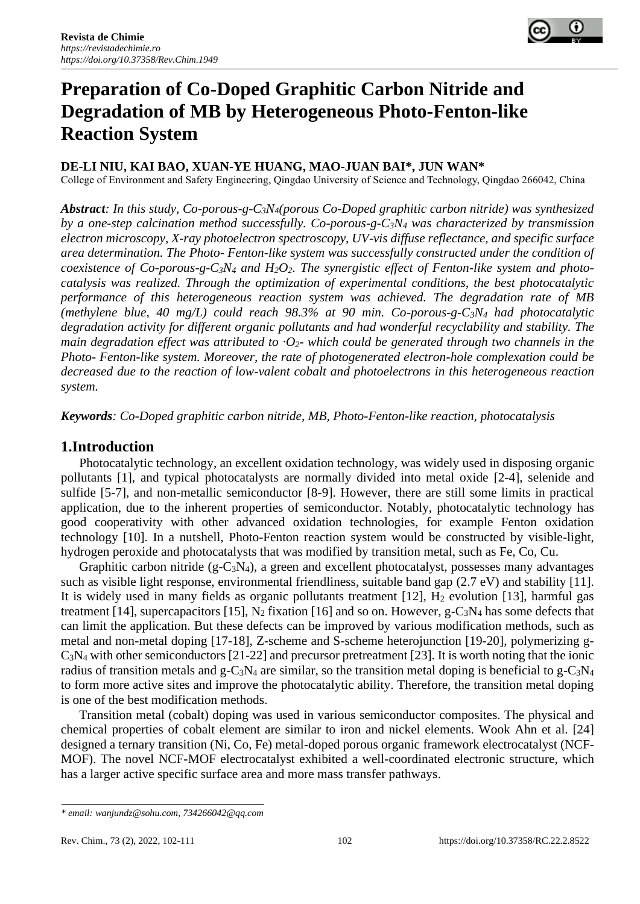

# **Preparation of Co-Doped Graphitic Carbon Nitride and Degradation of MB by Heterogeneous Photo-Fenton-like Reaction System**

## **DE-LI NIU, KAI BAO, XUAN-YE HUANG, MAO-JUAN BAI\*, JUN WAN\***

College of Environment and Safety Engineering, Qingdao University of Science and Technology, Qingdao 266042, China

*Abstract: In this study, Co-porous-g-C3N4(porous Co-Doped graphitic carbon nitride) was synthesized by a one-step calcination method successfully. Co-porous-g-C3N<sup>4</sup> was characterized by transmission electron microscopy, X-ray photoelectron spectroscopy, UV-vis diffuse reflectance, and specific surface area determination. The Photo- Fenton-like system was successfully constructed under the condition of coexistence of Co-porous-g-C<sub>3</sub>* $N_4$  *and*  $H_2O_2$ *. The synergistic effect of Fenton-like system and photocatalysis was realized. Through the optimization of experimental conditions, the best photocatalytic performance of this heterogeneous reaction system was achieved. The degradation rate of MB (methylene blue, 40 mg/L) could reach 98.3% at 90 min. Co-porous-g-C3N<sup>4</sup> had photocatalytic degradation activity for different organic pollutants and had wonderful recyclability and stability. The main degradation effect was attributed to ·O2- which could be generated through two channels in the Photo- Fenton-like system. Moreover, the rate of photogenerated electron-hole complexation could be decreased due to the reaction of low-valent cobalt and photoelectrons in this heterogeneous reaction system.*

*Keywords: Co-Doped graphitic carbon nitride, MB, Photo-Fenton-like reaction, photocatalysis*

## **1.Introduction**

Photocatalytic technology, an excellent oxidation technology, was widely used in disposing organic pollutants [1], and typical photocatalysts are normally divided into metal oxide [2-4], selenide and sulfide [5-7], and non-metallic semiconductor [8-9]. However, there are still some limits in practical application, due to the inherent properties of semiconductor. Notably, photocatalytic technology has good cooperativity with other advanced oxidation technologies, for example Fenton oxidation technology [10]. In a nutshell, Photo-Fenton reaction system would be constructed by visible-light, hydrogen peroxide and photocatalysts that was modified by transition metal, such as Fe, Co, Cu.

Graphitic carbon nitride (g-C3N4), a green and excellent photocatalyst, possesses many advantages such as visible light response, environmental friendliness, suitable band gap (2.7 eV) and stability [11]. It is widely used in many fields as organic pollutants treatment  $[12]$ ,  $H_2$  evolution  $[13]$ , harmful gas treatment [14], supercapacitors [15],  $N_2$  fixation [16] and so on. However, g-C<sub>3</sub>N<sub>4</sub> has some defects that can limit the application. But these defects can be improved by various modification methods, such as metal and non-metal doping [17-18], Z-scheme and S-scheme heterojunction [19-20], polymerizing g- $C_3$ N<sub>4</sub> with other semiconductors [21-22] and precursor pretreatment [23]. It is worth noting that the ionic radius of transition metals and g-C<sub>3</sub>N<sub>4</sub> are similar, so the transition metal doping is beneficial to g-C<sub>3</sub>N<sub>4</sub> to form more active sites and improve the photocatalytic ability. Therefore, the transition metal doping is one of the best modification methods.

Transition metal (cobalt) doping was used in various semiconductor composites. The physical and chemical properties of cobalt element are similar to iron and nickel elements. Wook Ahn et al. [24] designed a ternary transition (Ni, Co, Fe) metal-doped porous organic framework electrocatalyst (NCF-MOF). The novel NCF-MOF electrocatalyst exhibited a well-coordinated electronic structure, which has a larger active specific surface area and more mass transfer pathways.

*<sup>\*</sup> email[: wanjundz@sohu.com,](mailto:wanjundz@sohu.com) [734266042@qq.com](mailto:734266042@qq.com)*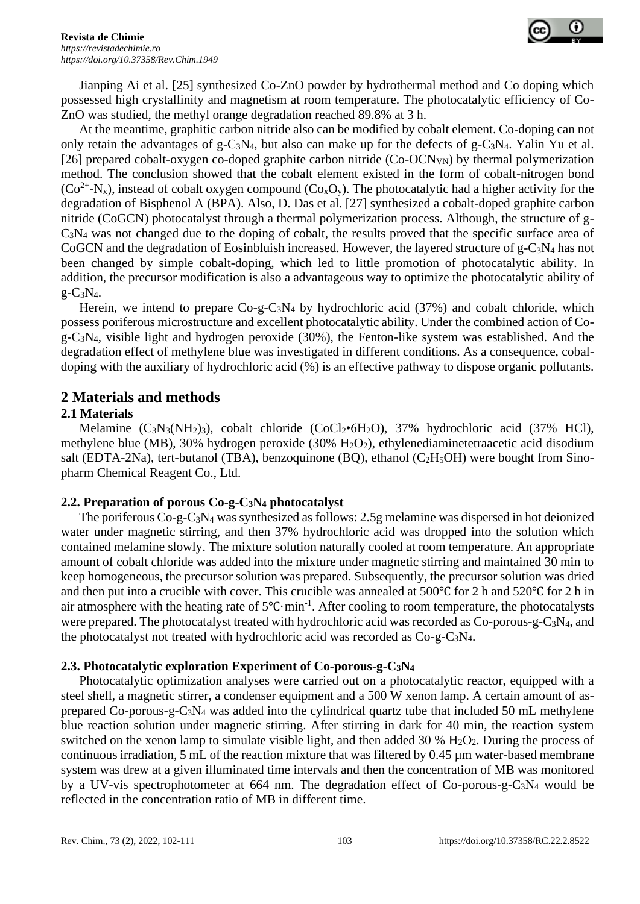

Jianping Ai et al. [25] synthesized Co-ZnO powder by hydrothermal method and Co doping which possessed high crystallinity and magnetism at room temperature. The photocatalytic efficiency of Co-ZnO was studied, the methyl orange degradation reached 89.8% at 3 h.

At the meantime, graphitic carbon nitride also can be modified by cobalt element. Co-doping can not only retain the advantages of g-C<sub>3</sub>N<sub>4</sub>, but also can make up for the defects of g-C<sub>3</sub>N<sub>4</sub>. Yalin Yu et al. [26] prepared cobalt-oxygen co-doped graphite carbon nitride  $(Co-OCN<sub>VN</sub>)$  by thermal polymerization method. The conclusion showed that the cobalt element existed in the form of cobalt-nitrogen bond  $(Co^{2+}N_{x})$ , instead of cobalt oxygen compound  $(Co_{x}O_{y})$ . The photocatalytic had a higher activity for the degradation of Bisphenol A (BPA). Also, D. Das et al. [27] synthesized a cobalt-doped graphite carbon nitride (CoGCN) photocatalyst through a thermal polymerization process. Although, the structure of g-C3N<sup>4</sup> was not changed due to the doping of cobalt, the results proved that the specific surface area of CoGCN and the degradation of Eosinbluish increased. However, the layered structure of  $g$ -C<sub>3</sub>N<sub>4</sub> has not been changed by simple cobalt-doping, which led to little promotion of photocatalytic ability. In addition, the precursor modification is also a advantageous way to optimize the photocatalytic ability of  $g - C_3N_4$ .

Herein, we intend to prepare  $Co-g-C_3N_4$  by hydrochloric acid (37%) and cobalt chloride, which possess poriferous microstructure and excellent photocatalytic ability. Under the combined action of Co $g$ -C<sub>3</sub>N<sub>4</sub>, visible light and hydrogen peroxide (30%), the Fenton-like system was established. And the degradation effect of methylene blue was investigated in different conditions. As a consequence, cobaldoping with the auxiliary of hydrochloric acid (%) is an effective pathway to dispose organic pollutants.

## **2 Materials and methods**

## **2.1 Materials**

Melamine  $(C_3N_3(NH_2)_3)$ , cobalt chloride  $(C_0Cl_2 \cdot 6H_2O)$ , 37% hydrochloric acid (37% HCl), methylene blue (MB), 30% hydrogen peroxide (30% H<sub>2</sub>O<sub>2</sub>), ethylenediaminetetraacetic acid disodium salt (EDTA-2Na), tert-butanol (TBA), benzoquinone (BQ), ethanol ( $C_2H_5OH$ ) were bought from Sinopharm Chemical Reagent Co., Ltd.

#### **2.2. Preparation of porous Co-g-C3N<sup>4</sup> photocatalyst**

The poriferous Co-g-C3N<sup>4</sup> was synthesized as follows: 2.5g melamine was dispersed in hot deionized water under magnetic stirring, and then 37% hydrochloric acid was dropped into the solution which contained melamine slowly. The mixture solution naturally cooled at room temperature. An appropriate amount of cobalt chloride was added into the mixture under magnetic stirring and maintained 30 min to keep homogeneous, the precursor solution was prepared. Subsequently, the precursor solution was dried and then put into a crucible with cover. This crucible was annealed at 500℃ for 2 h and 520℃ for 2 h in air atmosphere with the heating rate of 5℃·min-1 . After cooling to room temperature, the photocatalysts were prepared. The photocatalyst treated with hydrochloric acid was recorded as  $Co$ -porous-g- $C_3N_4$ , and the photocatalyst not treated with hydrochloric acid was recorded as Co-g-C3N4.

## **2.3. Photocatalytic exploration Experiment of Co-porous-g-C3N<sup>4</sup>**

Photocatalytic optimization analyses were carried out on a photocatalytic reactor, equipped with a steel shell, a magnetic stirrer, a condenser equipment and a 500 W xenon lamp. A certain amount of asprepared Co-porous-g- $C_3N_4$  was added into the cylindrical quartz tube that included 50 mL methylene blue reaction solution under magnetic stirring. After stirring in dark for 40 min, the reaction system switched on the xenon lamp to simulate visible light, and then added 30 %  $H_2O_2$ . During the process of continuous irradiation, 5 mL of the reaction mixture that was filtered by  $0.45 \mu m$  water-based membrane system was drew at a given illuminated time intervals and then the concentration of MB was monitored by a UV-vis spectrophotometer at 664 nm. The degradation effect of Co-porous-g-C3N<sup>4</sup> would be reflected in the concentration ratio of MB in different time.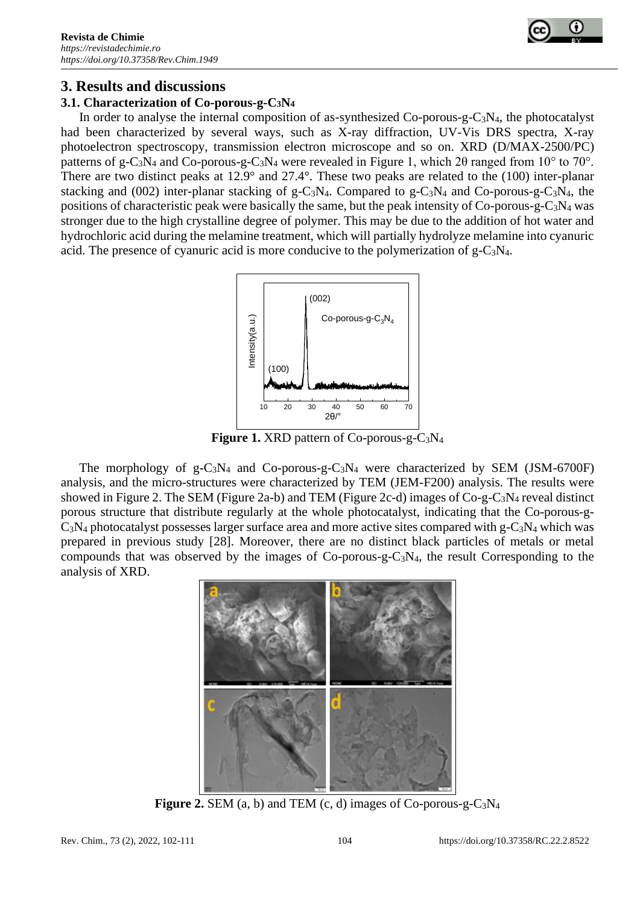

# **3. Results and discussions**

## **3.1. Characterization of Co-porous-g-C3N<sup>4</sup>**

In order to analyse the internal composition of as-synthesized  $Co$ -porous-g- $C_3N_4$ , the photocatalyst had been characterized by several ways, such as X-ray diffraction, UV-Vis DRS spectra, X-ray photoelectron spectroscopy, transmission electron microscope and so on. XRD (D/MAX-2500/PC) patterns of g-C<sub>3</sub>N<sub>4</sub> and Co-porous-g-C<sub>3</sub>N<sub>4</sub> were revealed in Figure 1, which 2 $\theta$  ranged from 10<sup>°</sup> to 70<sup>°</sup>. There are two distinct peaks at 12.9° and 27.4°. These two peaks are related to the (100) inter-planar stacking and (002) inter-planar stacking of  $g - C_3N_4$ . Compared to  $g - C_3N_4$  and Co-porous-g-C<sub>3</sub>N<sub>4</sub>, the positions of characteristic peak were basically the same, but the peak intensity of  $Co$ -porous-g- $C_3N_4$  was stronger due to the high crystalline degree of polymer. This may be due to the addition of hot water and hydrochloric acid during the melamine treatment, which will partially hydrolyze melamine into cyanuric acid. The presence of cyanuric acid is more conducive to the polymerization of  $g-C_3N_4$ .



**Figure 1.** XRD pattern of Co-porous-g-C3N<sup>4</sup>

The morphology of  $g - C_3N_4$  and Co-porous-g-C<sub>3</sub>N<sub>4</sub> were characterized by SEM (JSM-6700F) analysis, and the micro-structures were characterized by TEM (JEM-F200) analysis. The results were showed in Figure 2. The SEM (Figure 2a-b) and TEM (Figure 2c-d) images of  $Co-g-C_3N_4$  reveal distinct porous structure that distribute regularly at the whole photocatalyst, indicating that the Co-porous-g- $C_3N_4$  photocatalyst possesses larger surface area and more active sites compared with g-C<sub>3</sub>N<sub>4</sub> which was prepared in previous study [28]. Moreover, there are no distinct black particles of metals or metal compounds that was observed by the images of Co-porous-g-C3N4, the result Corresponding to the analysis of XRD.



**Figure 2.** SEM (a, b) and TEM (c, d) images of Co-porous-g-C3N<sup>4</sup>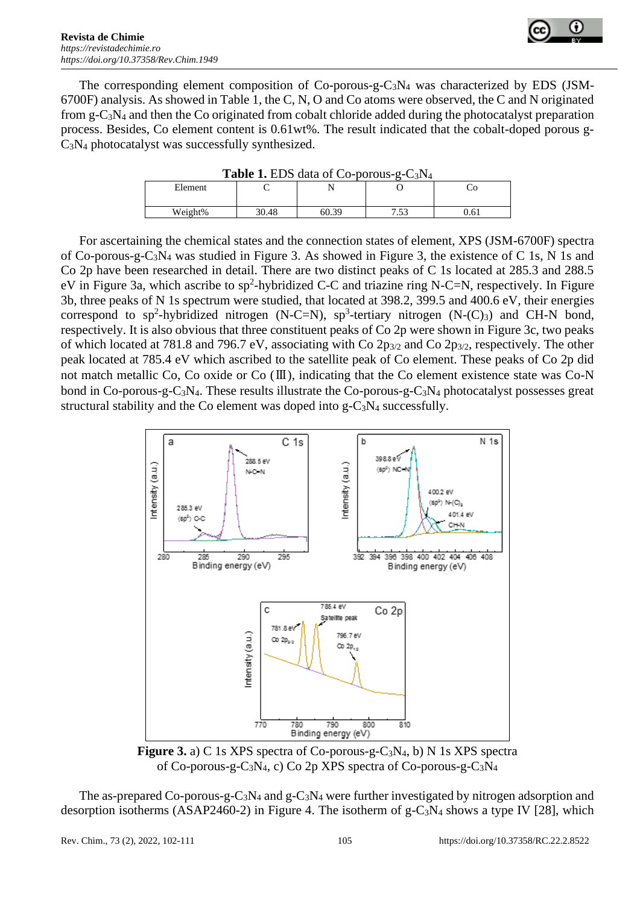

The corresponding element composition of Co-porous-g-C3N<sup>4</sup> was characterized by EDS (JSM-6700F) analysis. As showed in Table 1, the C, N, O and Co atoms were observed, the C and N originated from g-C3N<sup>4</sup> and then the Co originated from cobalt chloride added during the photocatalyst preparation process. Besides, Co element content is 0.61wt%. The result indicated that the cobalt-doped porous g- $C_3N_4$  photocatalyst was successfully synthesized.

| <b>Table 1. EDS data of Co-porous-g-C3N4</b> |       |       |             |      |  |
|----------------------------------------------|-------|-------|-------------|------|--|
| Element                                      |       |       |             |      |  |
| Weight%                                      | 30.48 | 60.39 | 752<br>ن بي | 0.61 |  |
|                                              |       |       |             |      |  |

**Table 1. EDS** data of  $Co\text{-}norms\text{-}G\text{-}N$ 

For ascertaining the chemical states and the connection states of element, XPS (JSM-6700F) spectra of Co-porous-g-C3N<sup>4</sup> was studied in Figure 3. As showed in Figure 3, the existence of C 1s, N 1s and Co 2p have been researched in detail. There are two distinct peaks of C 1s located at 285.3 and 288.5 eV in Figure 3a, which ascribe to  $sp^2$ -hybridized C-C and triazine ring N-C=N, respectively. In Figure 3b, three peaks of N 1s spectrum were studied, that located at 398.2, 399.5 and 400.6 eV, their energies correspond to sp<sup>2</sup>-hybridized nitrogen (N-C=N), sp<sup>3</sup>-tertiary nitrogen (N-(C)<sub>3</sub>) and CH-N bond, respectively. It is also obvious that three constituent peaks of Co 2p were shown in Figure 3c, two peaks of which located at 781.8 and 796.7 eV, associating with Co 2p3/2 and Co 2p3/2, respectively. The other peak located at 785.4 eV which ascribed to the satellite peak of Co element. These peaks of Co 2p did not match metallic Co, Co oxide or Co (Ⅲ), indicating that the Co element existence state was Co-N bond in Co-porous-g-C<sub>3</sub>N<sub>4</sub>. These results illustrate the Co-porous-g-C<sub>3</sub>N<sub>4</sub> photocatalyst possesses great structural stability and the Co element was doped into  $g - C_3N_4$  successfully.



**Figure 3.** a) C 1s XPS spectra of Co-porous-g-C3N4, b) N 1s XPS spectra of Co-porous-g-C3N4, c) Co 2p XPS spectra of Co-porous-g-C3N<sup>4</sup>

The as-prepared Co-porous-g-C<sub>3</sub>N<sub>4</sub> and g-C<sub>3</sub>N<sub>4</sub> were further investigated by nitrogen adsorption and desorption isotherms (ASAP2460-2) in Figure 4. The isotherm of  $g-C_3N_4$  shows a type IV [28], which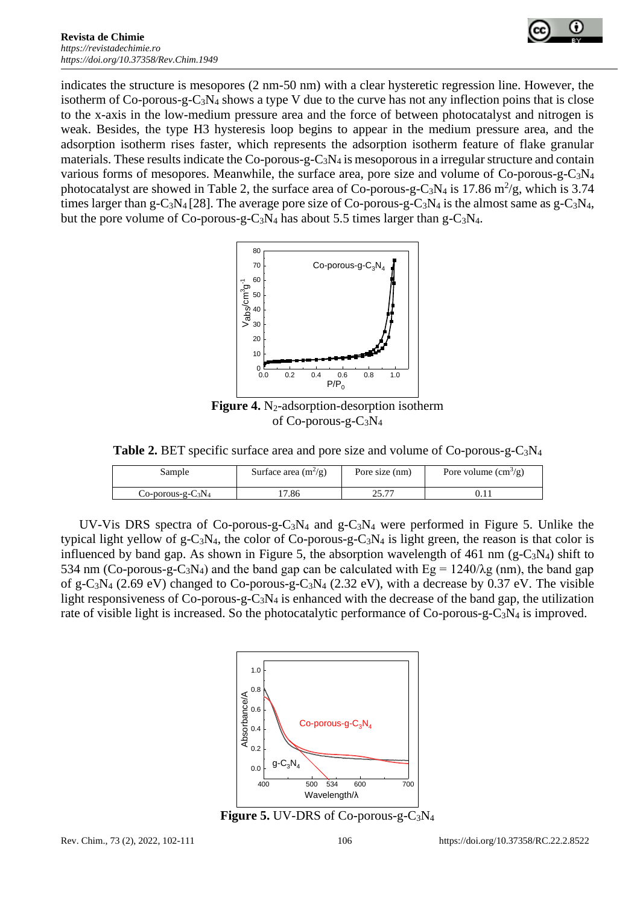

indicates the structure is mesopores (2 nm-50 nm) with a clear hysteretic regression line. However, the isotherm of Co-porous-g-C3N<sup>4</sup> shows a type V due to the curve has not any inflection poins that is close to the x-axis in the low-medium pressure area and the force of between photocatalyst and nitrogen is weak. Besides, the type H3 hysteresis loop begins to appear in the medium pressure area, and the adsorption isotherm rises faster, which represents the adsorption isotherm feature of flake granular materials. These results indicate the Co-porous-g-C<sub>3</sub>N<sub>4</sub> is mesoporous in a irregular structure and contain various forms of mesopores. Meanwhile, the surface area, pore size and volume of Co-porous-g-C3N<sup>4</sup> photocatalyst are showed in Table 2, the surface area of Co-porous-g-C<sub>3</sub>N<sub>4</sub> is 17.86 m<sup>2</sup>/g, which is 3.74 times larger than g-C<sub>3</sub>N<sub>4</sub> [28]. The average pore size of Co-porous-g-C<sub>3</sub>N<sub>4</sub> is the almost same as g-C<sub>3</sub>N<sub>4</sub>, but the pore volume of Co-porous-g-C<sub>3</sub>N<sub>4</sub> has about 5.5 times larger than g-C<sub>3</sub>N<sub>4</sub>.



**Figure 4.** N<sub>2</sub>-adsorption-desorption isotherm of Co-porous-g-C3N<sup>4</sup>

**Table 2.** BET specific surface area and pore size and volume of Co-porous-g-C3N<sup>4</sup>

| Sample                   | Surface area $(m^2/g)$ | Pore size (nm) | Pore volume $\text{cm}^3\text{/g}$ ) |
|--------------------------|------------------------|----------------|--------------------------------------|
| $Co$ -porous-g- $C_3N_4$ | .7.86                  | つぐ ワワ          |                                      |

UV-Vis DRS spectra of Co-porous-g-C<sub>3</sub>N<sub>4</sub> and g-C<sub>3</sub>N<sub>4</sub> were performed in Figure 5. Unlike the typical light yellow of g-C<sub>3</sub>N<sub>4</sub>, the color of Co-porous-g-C<sub>3</sub>N<sub>4</sub> is light green, the reason is that color is influenced by band gap. As shown in Figure 5, the absorption wavelength of 461 nm (g-C<sub>3</sub>N<sub>4</sub>) shift to 534 nm (Co-porous-g-C<sub>3</sub>N<sub>4</sub>) and the band gap can be calculated with Eg =  $1240/\lambda$ g (nm), the band gap of g-C<sub>3</sub>N<sub>4</sub> (2.69 eV) changed to Co-porous-g-C<sub>3</sub>N<sub>4</sub> (2.32 eV), with a decrease by 0.37 eV. The visible light responsiveness of  $Co$ -porous-g- $C_3N_4$  is enhanced with the decrease of the band gap, the utilization rate of visible light is increased. So the photocatalytic performance of Co-porous-g-C3N<sup>4</sup> is improved.



**Figure 5.** UV-DRS of Co-porous-g-C3N<sup>4</sup>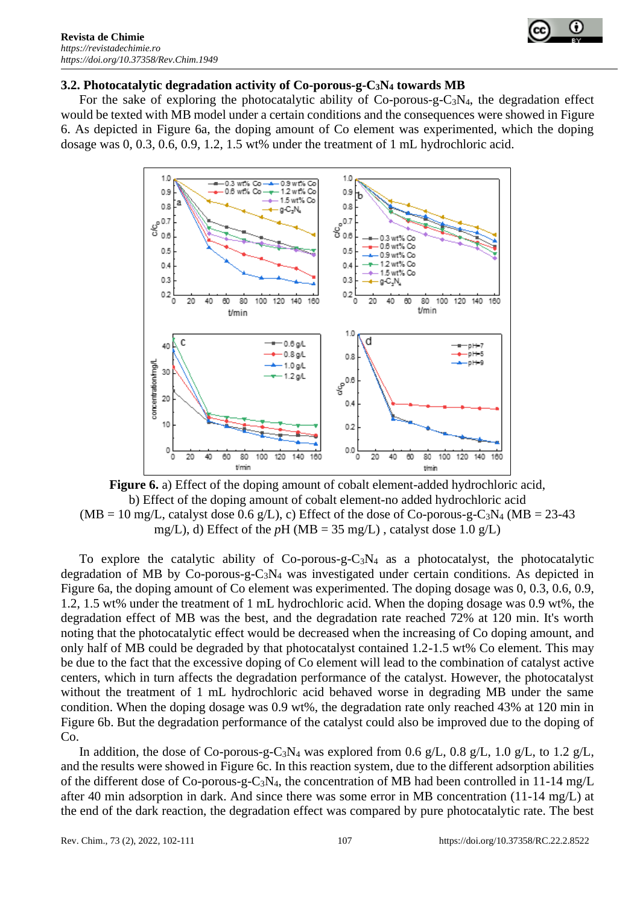

#### **3.2. Photocatalytic degradation activity of Co-porous-g-C3N<sup>4</sup> towards MB**

For the sake of exploring the photocatalytic ability of Co-porous-g-C3N4, the degradation effect would be texted with MB model under a certain conditions and the consequences were showed in Figure 6. As depicted in Figure 6a, the doping amount of Co element was experimented, which the doping dosage was 0, 0.3, 0.6, 0.9, 1.2, 1.5 wt% under the treatment of 1 mL hydrochloric acid.



**Figure 6.** a) Effect of the doping amount of cobalt element-added hydrochloric acid, b) Effect of the doping amount of cobalt element-no added hydrochloric acid  $(MB = 10 \text{ mg/L}, \text{catalyst dose } 0.6 \text{ g/L}), c)$  Effect of the dose of Co-porous-g-C<sub>3</sub>N<sub>4</sub> (MB = 23-43) mg/L), d) Effect of the  $pH$  (MB = 35 mg/L), catalyst dose 1.0 g/L)

To explore the catalytic ability of  $Co\text{-porous-g-C<sub>3</sub>N<sub>4</sub>}$  as a photocatalyst, the photocatalytic degradation of MB by Co-porous-g-C3N<sup>4</sup> was investigated under certain conditions. As depicted in Figure 6a, the doping amount of Co element was experimented. The doping dosage was 0, 0.3, 0.6, 0.9, 1.2, 1.5 wt% under the treatment of 1 mL hydrochloric acid. When the doping dosage was 0.9 wt%, the degradation effect of MB was the best, and the degradation rate reached 72% at 120 min. It's worth noting that the photocatalytic effect would be decreased when the increasing of Co doping amount, and only half of MB could be degraded by that photocatalyst contained 1.2-1.5 wt% Co element. This may be due to the fact that the excessive doping of Co element will lead to the combination of catalyst active centers, which in turn affects the degradation performance of the catalyst. However, the photocatalyst without the treatment of 1 mL hydrochloric acid behaved worse in degrading MB under the same condition. When the doping dosage was 0.9 wt%, the degradation rate only reached 43% at 120 min in Figure 6b. But the degradation performance of the catalyst could also be improved due to the doping of Co.

In addition, the dose of Co-porous-g-C<sub>3</sub>N<sub>4</sub> was explored from 0.6 g/L, 0.8 g/L, 1.0 g/L, to 1.2 g/L, and the results were showed in Figure 6c. In this reaction system, due to the different adsorption abilities of the different dose of Co-porous-g-C3N4, the concentration of MB had been controlled in 11-14 mg/L after 40 min adsorption in dark. And since there was some error in MB concentration (11-14 mg/L) at the end of the dark reaction, the degradation effect was compared by pure photocatalytic rate. The best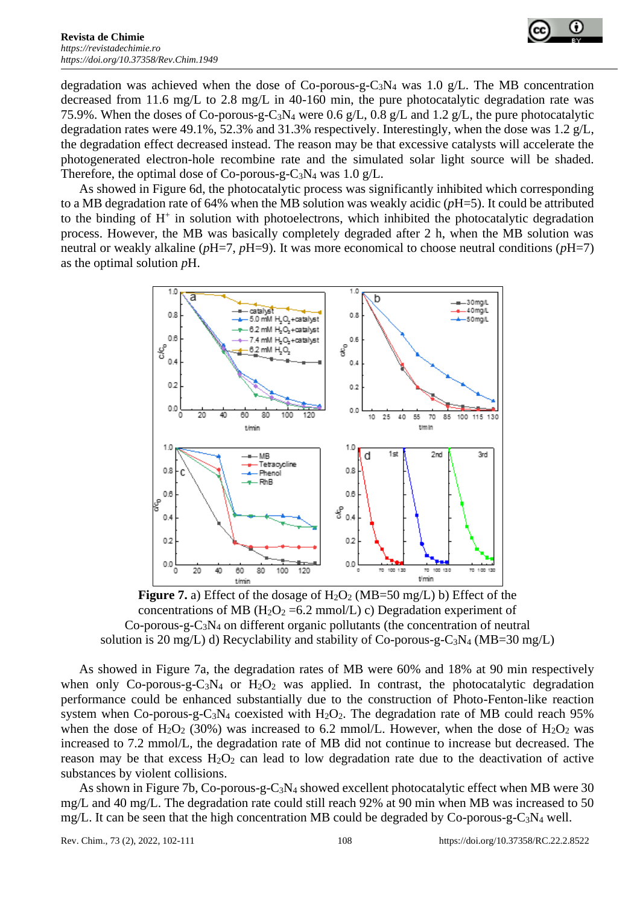

degradation was achieved when the dose of Co-porous-g-C<sub>3</sub>N<sub>4</sub> was 1.0 g/L. The MB concentration decreased from 11.6 mg/L to 2.8 mg/L in 40-160 min, the pure photocatalytic degradation rate was 75.9%. When the doses of Co-porous-g-C3N<sup>4</sup> were 0.6 g/L, 0.8 g/L and 1.2 g/L, the pure photocatalytic degradation rates were 49.1%, 52.3% and 31.3% respectively. Interestingly, when the dose was 1.2 g/L, the degradation effect decreased instead. The reason may be that excessive catalysts will accelerate the photogenerated electron-hole recombine rate and the simulated solar light source will be shaded. Therefore, the optimal dose of Co-porous-g-C<sub>3</sub>N<sub>4</sub> was 1.0 g/L.

As showed in Figure 6d, the photocatalytic process was significantly inhibited which corresponding to a MB degradation rate of 64% when the MB solution was weakly acidic (*p*H=5). It could be attributed to the binding of H<sup>+</sup> in solution with photoelectrons, which inhibited the photocatalytic degradation process. However, the MB was basically completely degraded after 2 h, when the MB solution was neutral or weakly alkaline (*p*H=7, *p*H=9). It was more economical to choose neutral conditions (*p*H=7) as the optimal solution *p*H.



**Figure 7.** a) Effect of the dosage of  $H_2O_2$  (MB=50 mg/L) b) Effect of the concentrations of MB ( $H_2O_2 = 6.2$  mmol/L) c) Degradation experiment of Co-porous-g-C3N<sup>4</sup> on different organic pollutants (the concentration of neutral solution is 20 mg/L) d) Recyclability and stability of Co-porous-g-C<sub>3</sub>N<sub>4</sub> (MB=30 mg/L)

As showed in Figure 7a, the degradation rates of MB were 60% and 18% at 90 min respectively when only Co-porous-g-C<sub>3</sub>N<sub>4</sub> or H<sub>2</sub>O<sub>2</sub> was applied. In contrast, the photocatalytic degradation performance could be enhanced substantially due to the construction of Photo-Fenton-like reaction system when Co-porous-g-C<sub>3</sub>N<sub>4</sub> coexisted with  $H_2O_2$ . The degradation rate of MB could reach 95% when the dose of  $H_2O_2$  (30%) was increased to 6.2 mmol/L. However, when the dose of  $H_2O_2$  was increased to 7.2 mmol/L, the degradation rate of MB did not continue to increase but decreased. The reason may be that excess  $H_2O_2$  can lead to low degradation rate due to the deactivation of active substances by violent collisions.

As shown in Figure 7b, Co-porous-g-C<sub>3</sub>N<sub>4</sub> showed excellent photocatalytic effect when MB were 30 mg/L and 40 mg/L. The degradation rate could still reach 92% at 90 min when MB was increased to 50 mg/L. It can be seen that the high concentration MB could be degraded by  $Co$ -porous-g- $C_3N_4$  well.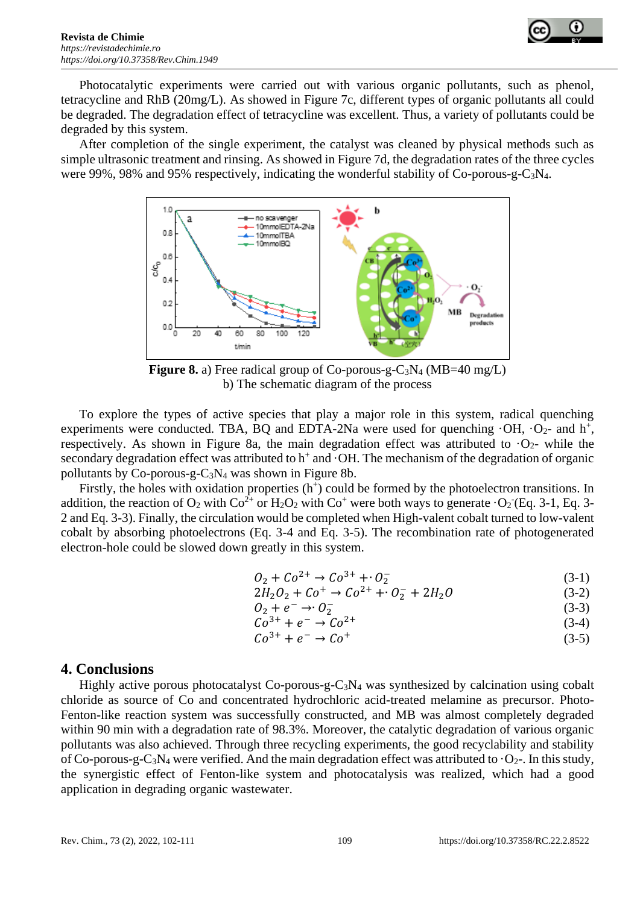



Photocatalytic experiments were carried out with various organic pollutants, such as phenol, tetracycline and RhB (20mg/L). As showed in Figure 7c, different types of organic pollutants all could be degraded. The degradation effect of tetracycline was excellent. Thus, a variety of pollutants could be degraded by this system.

After completion of the single experiment, the catalyst was cleaned by physical methods such as simple ultrasonic treatment and rinsing. As showed in Figure 7d, the degradation rates of the three cycles were 99%, 98% and 95% respectively, indicating the wonderful stability of Co-porous-g-C3N4.



**Figure 8.** a) Free radical group of Co-porous-g-C3N<sup>4</sup> (MB=40 mg/L) b) The schematic diagram of the process

To explore the types of active species that play a major role in this system, radical quenching experiments were conducted. TBA, BQ and EDTA-2Na were used for quenching  $\cdot$ OH,  $\cdot$ O<sub>2</sub>- and h<sup>+</sup>, respectively. As shown in Figure 8a, the main degradation effect was attributed to  $O<sub>2</sub>$ - while the secondary degradation effect was attributed to  $h^+$  and  $\cdot$ OH. The mechanism of the degradation of organic pollutants by Co-porous-g-C3N<sup>4</sup> was shown in Figure 8b.

Firstly, the holes with oxidation properties  $(h<sup>+</sup>)$  could be formed by the photoelectron transitions. In addition, the reaction of  $O_2$  with  $Co^{2+}$  or  $H_2O_2$  with  $Co^+$  were both ways to generate  $O_2$  (Eq. 3-1, Eq. 3-2 and Eq. 3-3). Finally, the circulation would be completed when High-valent cobalt turned to low-valent cobalt by absorbing photoelectrons (Eq. 3-4 and Eq. 3-5). The recombination rate of photogenerated electron-hole could be slowed down greatly in this system.

$$
O_2 + Co^{2+} \to Co^{3+} + O_2^-
$$
 (3-1)

$$
2H_2O_2 + Co^+ \to Co^{2+} + O_2^- + 2H_2O \tag{3-2}
$$

$$
O_2 + e^- \rightarrow O_2^- \tag{3-3}
$$

$$
Co^{3+} + e^- \rightarrow Co^{2+}
$$
 (3-4)

$$
Co^{3+} + e^- \rightarrow Co^+ \tag{3-5}
$$

#### **4. Conclusions**

Highly active porous photocatalyst Co-porous-g-C<sub>3</sub>N<sub>4</sub> was synthesized by calcination using cobalt chloride as source of Co and concentrated hydrochloric acid-treated melamine as precursor. Photo-Fenton-like reaction system was successfully constructed, and MB was almost completely degraded within 90 min with a degradation rate of 98.3%. Moreover, the catalytic degradation of various organic pollutants was also achieved. Through three recycling experiments, the good recyclability and stability of Co-porous-g-C<sub>3</sub>N<sub>4</sub> were verified. And the main degradation effect was attributed to  $\cdot$ O<sub>2</sub>-. In this study, the synergistic effect of Fenton-like system and photocatalysis was realized, which had a good application in degrading organic wastewater.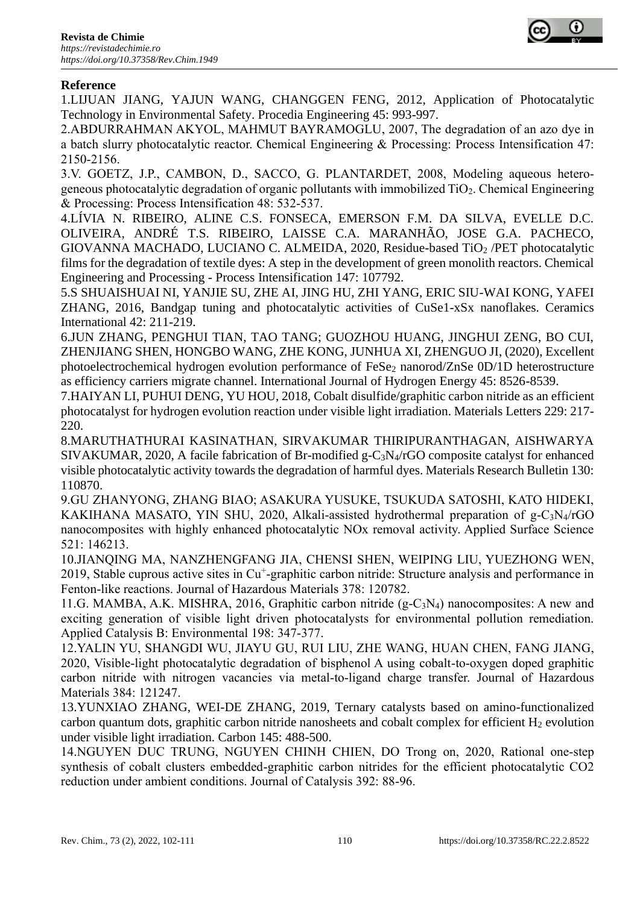

# **Reference**

1.LIJUAN JIANG, YAJUN WANG, CHANGGEN FENG, 2012, Application of Photocatalytic Technology in Environmental Safety. Procedia Engineering 45: 993-997.

2.ABDURRAHMAN AKYOL, MAHMUT BAYRAMOGLU, 2007, The degradation of an azo dye in a batch slurry photocatalytic reactor. Chemical Engineering & Processing: Process Intensification 47: 2150-2156.

3.V. GOETZ, J.P., CAMBON, D., SACCO, G. PLANTARDET, 2008, Modeling aqueous heterogeneous photocatalytic degradation of organic pollutants with immobilized TiO2. Chemical Engineering & Processing: Process Intensification 48: 532-537.

4.LÍVIA N. RIBEIRO, ALINE C.S. FONSECA, EMERSON F.M. DA SILVA, EVELLE D.C. OLIVEIRA, ANDRÉ T.S. RIBEIRO, LAISSE C.A. MARANHÃO, JOSE G.A. PACHECO, GIOVANNA MACHADO, LUCIANO C. ALMEIDA, 2020, Residue-based TiO<sup>2</sup> /PET photocatalytic films for the degradation of textile dyes: A step in the development of green monolith reactors. Chemical Engineering and Processing - Process Intensification 147: 107792.

5.S SHUAISHUAI NI, YANJIE SU, ZHE AI, JING HU, ZHI YANG, ERIC SIU-WAI KONG, YAFEI ZHANG, 2016, Bandgap tuning and photocatalytic activities of CuSe1-xSx nanoflakes. Ceramics International 42: 211-219.

6.JUN ZHANG, PENGHUI TIAN, TAO TANG; GUOZHOU HUANG, JINGHUI ZENG, BO CUI, ZHENJIANG SHEN, HONGBO WANG, ZHE KONG, JUNHUA XI, ZHENGUO JI, (2020), Excellent photoelectrochemical hydrogen evolution performance of FeSe<sub>2</sub> nanorod/ZnSe 0D/1D heterostructure as efficiency carriers migrate channel. International Journal of Hydrogen Energy 45: 8526-8539.

7.HAIYAN LI, PUHUI DENG, YU HOU, 2018, Cobalt disulfide/graphitic carbon nitride as an efficient photocatalyst for hydrogen evolution reaction under visible light irradiation. Materials Letters 229: 217- 220.

8.MARUTHATHURAI KASINATHAN, SIRVAKUMAR THIRIPURANTHAGAN, AISHWARYA SIVAKUMAR, 2020, A facile fabrication of Br-modified g-C3N4/rGO composite catalyst for enhanced visible photocatalytic activity towards the degradation of harmful dyes. Materials Research Bulletin 130: 110870.

9.GU ZHANYONG, ZHANG BIAO; ASAKURA YUSUKE, TSUKUDA SATOSHI, KATO HIDEKI, KAKIHANA MASATO, YIN SHU, 2020, Alkali-assisted hydrothermal preparation of g-C3N4/rGO nanocomposites with highly enhanced photocatalytic NOx removal activity. Applied Surface Science 521: 146213.

10.JIANQING MA, NANZHENGFANG JIA, CHENSI SHEN, WEIPING LIU, YUEZHONG WEN, 2019, Stable cuprous active sites in Cu<sup>+</sup>-graphitic carbon nitride: Structure analysis and performance in Fenton-like reactions. Journal of Hazardous Materials 378: 120782.

11.G. MAMBA, A.K. MISHRA, 2016, Graphitic carbon nitride (g-C3N4) nanocomposites: A new and exciting generation of visible light driven photocatalysts for environmental pollution remediation. Applied Catalysis B: Environmental 198: 347-377.

12.YALIN YU, SHANGDI WU, JIAYU GU, RUI LIU, ZHE WANG, HUAN CHEN, FANG JIANG, 2020, Visible-light photocatalytic degradation of bisphenol A using cobalt-to-oxygen doped graphitic carbon nitride with nitrogen vacancies via metal-to-ligand charge transfer. Journal of Hazardous Materials 384: 121247.

13.YUNXIAO ZHANG, WEI-DE ZHANG, 2019, Ternary catalysts based on amino-functionalized carbon quantum dots, graphitic carbon nitride nanosheets and cobalt complex for efficient  $H_2$  evolution under visible light irradiation. Carbon 145: 488-500.

14.NGUYEN DUC TRUNG, NGUYEN CHINH CHIEN, DO Trong on, 2020, Rational one-step synthesis of cobalt clusters embedded-graphitic carbon nitrides for the efficient photocatalytic CO2 reduction under ambient conditions. Journal of Catalysis 392: 88-96.